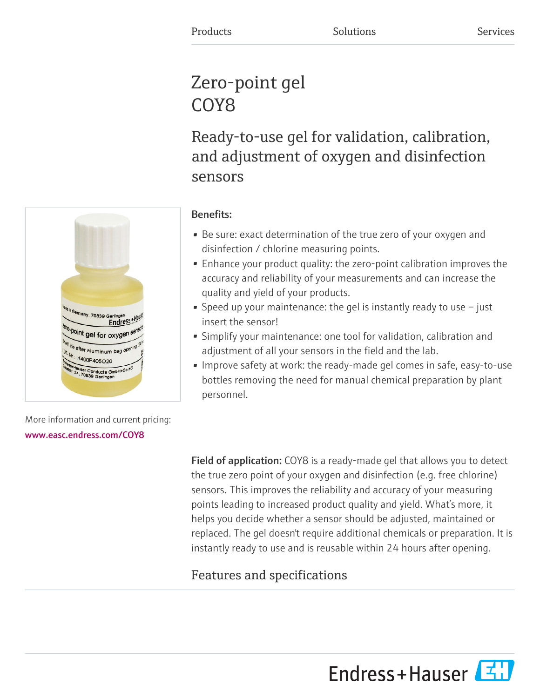## Zero-point gel COY<sub>8</sub>

Ready-to-use gel for validation, calibration, and adjustment of oxygen and disinfection sensors



## Benefits:

- Be sure: exact determination of the true zero of your oxygen and disinfection / chlorine measuring points.
- Enhance your product quality: the zero-point calibration improves the accuracy and reliability of your measurements and can increase the quality and yield of your products.
- Speed up your maintenance: the gel is instantly ready to use  $-$  just insert the sensor!
- Simplify your maintenance: one tool for validation, calibration and adjustment of all your sensors in the field and the lab.
- Improve safety at work: the ready-made gel comes in safe, easy-to-use bottles removing the need for manual chemical preparation by plant personnel.

More information and current pricing: [www.easc.endress.com/COY8](https://www.easc.endress.com/COY8)

> Field of application: COY8 is a ready-made gel that allows you to detect the true zero point of your oxygen and disinfection (e.g. free chlorine) sensors. This improves the reliability and accuracy of your measuring points leading to increased product quality and yield. What's more, it helps you decide whether a sensor should be adjusted, maintained or replaced. The gel doesn't require additional chemicals or preparation. It is instantly ready to use and is reusable within 24 hours after opening.

## Features and specifications